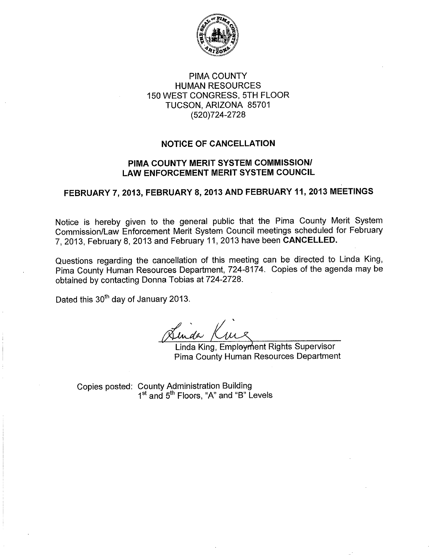

## **PIMA COUNTY HUMAN RESOURCES** 150 WEST CONGRESS, 5TH FLOOR TUCSON, ARIZONA 85701 (520)724-2728

## **NOTICE OF CANCELLATION**

## PIMA COUNTY MERIT SYSTEM COMMISSION/ **LAW ENFORCEMENT MERIT SYSTEM COUNCIL**

# FEBRUARY 7, 2013, FEBRUARY 8, 2013 AND FEBRUARY 11, 2013 MEETINGS

Notice is hereby given to the general public that the Pima County Merit System Commission/Law Enforcement Merit System Council meetings scheduled for February 7, 2013, February 8, 2013 and February 11, 2013 have been CANCELLED.

Questions regarding the cancellation of this meeting can be directed to Linda King, Pima County Human Resources Department, 724-8174. Copies of the agenda may be obtained by contacting Donna Tobias at 724-2728.

Dated this 30<sup>th</sup> day of January 2013.

Lunda Kin

Linda King, Employment Rights Supervisor Pima County Human Resources Department

Copies posted: County Administration Building 1<sup>st</sup> and 5<sup>th</sup> Floors, "A" and "B" Levels